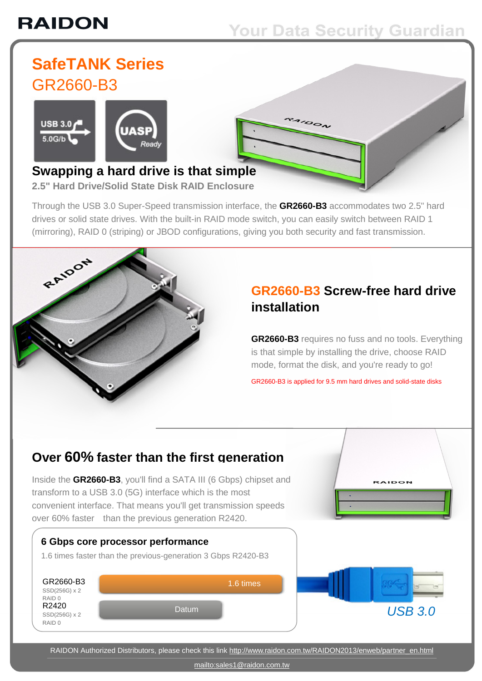# **RAIDON**

## **Your Data Security Guardian**

 $100\lambda$ 

### **SafeTANK Series** GR2660-B3





#### **Swapping a hard drive is that simple 2.5" Hard Drive/Solid State Disk RAID Enclosure**

Through the USB 3.0 Super-Speed transmission interface, the **GR2660-B3** accommodates two 2.5" hard drives or solid state drives. With the built-in RAID mode switch, you can easily switch between RAID 1 (mirroring), RAID 0 (striping) or JBOD configurations, giving you both security and fast transmission.



### **GR2660-B3 Screw-free hard drive installation**

**GR2660-B3** requires no fuss and no tools. Everything is that simple by installing the drive, choose RAID mode, format the disk, and you're ready to go!

**RAIDON** 

GR2660-B3 is applied for 9.5 mm hard drives and solid-state disks

### **Over 60% faster than the first generation**

Inside the **GR2660-B3**, you'll find a SATA III (6 Gbps) chipset and transform to a USB 3.0 (5G) interface which is the most convenient interface. That means you'll get transmission speeds over 60% faster than the previous generation R2420.



RAIDON Authorized Distributors, please check this link [http://www.raidon.com.tw/RAIDON2013/enweb/partner\\_en.html](http://www.raidon.com.tw/RAIDON2013/enweb/partner_en.html)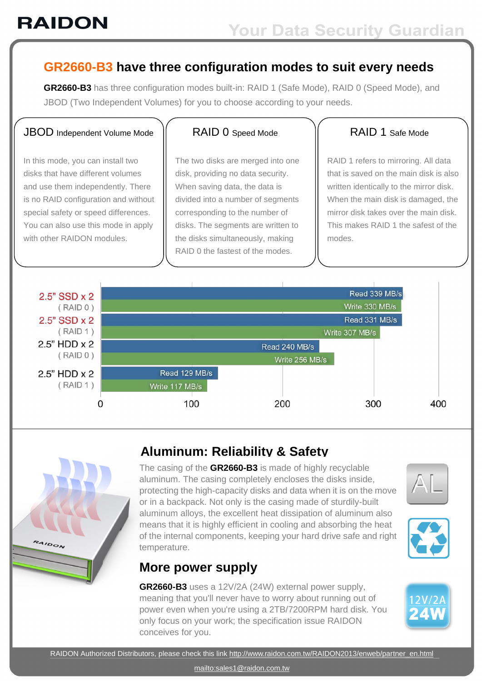#### **GR2660-B3 have three configuration modes to suit every needs**

**GR2660-B3** has three configuration modes built-in: RAID 1 (Safe Mode), RAID 0 (Speed Mode), and JBOD (Two Independent Volumes) for you to choose according to your needs.

#### JBOD Independent Volume Mode

In this mode, you can install two disks that have different volumes and use them independently. There is no RAID configuration and without special safety or speed differences. You can also use this mode in apply with other RAIDON modules.

#### RAID 0 Speed Mode

The two disks are merged into one disk, providing no data security. When saving data, the data is divided into a number of segments corresponding to the number of disks. The segments are written to the disks simultaneously, making RAID 0 the fastest of the modes.

#### RAID 1 Safe Mode

RAID 1 refers to mirroring. All data that is saved on the main disk is also written identically to the mirror disk. When the main disk is damaged, the mirror disk takes over the main disk. This makes RAID 1 the safest of the modes.





### **Aluminum: Reliability & Safety**

The casing of the **GR2660-B3** is made of highly recyclable aluminum. The casing completely encloses the disks inside, protecting the high-capacity disks and data when it is on the move or in a backpack. Not only is the casing made of sturdily-built aluminum alloys, the excellent heat dissipation of aluminum also means that it is highly efficient in cooling and absorbing the heat of the internal components, keeping your hard drive safe and right temperature.





### **More power supply**

**GR2660-B3** uses a 12V/2A (24W) external power supply, meaning that you'll never have to worry about running out of power even when you're using a 2TB/7200RPM hard disk. You only focus on your work; the specification issue RAIDON conceives for you.

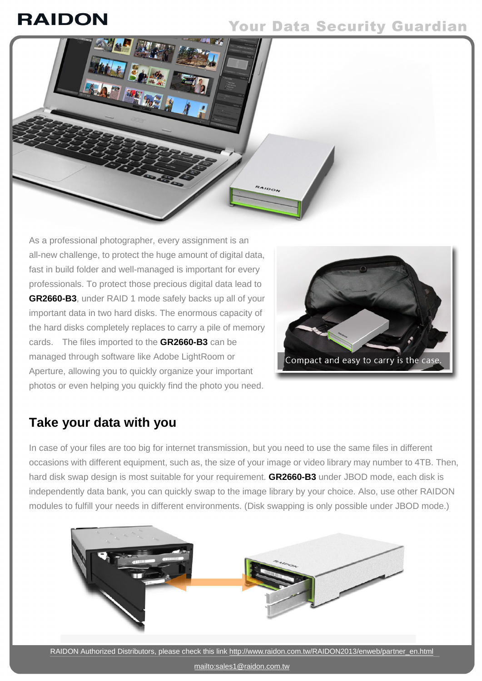## **RAIDON**

### **Your Data Security Guardian**



As a professional photographer, every assignment is an all-new challenge, to protect the huge amount of digital data, fast in build folder and well-managed is important for every professionals. To protect those precious digital data lead to **GR2660-B3**, under RAID 1 mode safely backs up all of your important data in two hard disks. The enormous capacity of the hard disks completely replaces to carry a pile of memory cards. The files imported to the **GR2660-B3** can be managed through software like Adobe LightRoom or Aperture, allowing you to quickly organize your important photos or even helping you quickly find the photo you need.



### **Take your data with you**

In case of your files are too big for internet transmission, but you need to use the same files in different occasions with different equipment, such as, the size of your image or video library may number to 4TB. Then, hard disk swap design is most suitable for your requirement. **GR2660-B3** under JBOD mode, each disk is independently data bank, you can quickly swap to the image library by your choice. Also, use other RAIDON modules to fulfill your needs in different environments. (Disk swapping is only possible under JBOD mode.)



<mailto:sales1@raidon.com.tw>